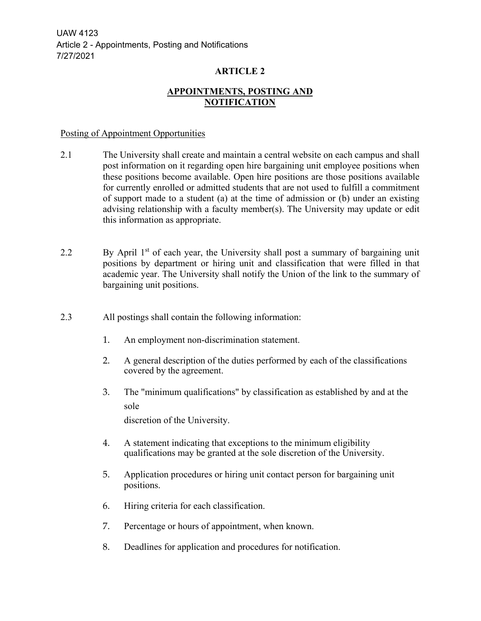UAW 4123 Article 2 - Appointments, Posting and Notifications 7/27/2021

# **ARTICLE 2**

# **APPOINTMENTS, POSTING AND NOTIFICATION**

#### Posting of Appointment Opportunities

- 2.1 The University shall create and maintain a central website on each campus and shall post information on it regarding open hire bargaining unit employee positions when these positions become available. Open hire positions are those positions available for currently enrolled or admitted students that are not used to fulfill a commitment of support made to a student (a) at the time of admission or (b) under an existing advising relationship with a faculty member(s). The University may update or edit this information as appropriate.
- 2.2 By April  $1<sup>st</sup>$  of each year, the University shall post a summary of bargaining unit positions by department or hiring unit and classification that were filled in that academic year. The University shall notify the Union of the link to the summary of bargaining unit positions.
- 2.3 All postings shall contain the following information:
	- 1. An employment non-discrimination statement.
	- 2. A general description of the duties performed by each of the classifications covered by the agreement.
	- 3. The "minimum qualifications" by classification as established by and at the sole

discretion of the University.

- 4. A statement indicating that exceptions to the minimum eligibility qualifications may be granted at the sole discretion of the University.
- 5. Application procedures or hiring unit contact person for bargaining unit positions.
- 6. Hiring criteria for each classification.
- 7. Percentage or hours of appointment, when known.
- 8. Deadlines for application and procedures for notification.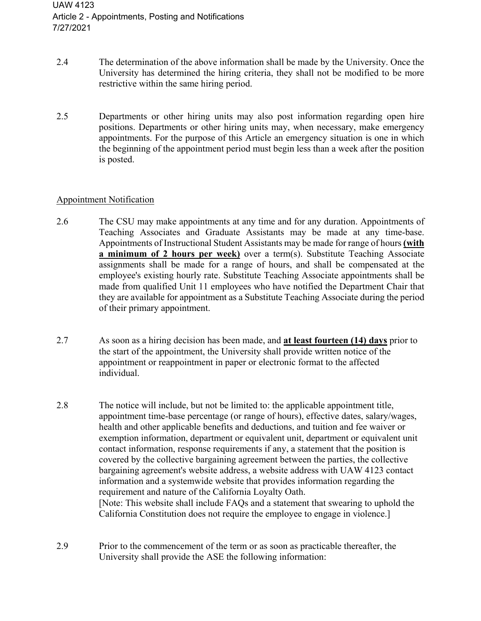- 2.4 The determination of the above information shall be made by the University. Once the University has determined the hiring criteria, they shall not be modified to be more restrictive within the same hiring period.
- 2.5 Departments or other hiring units may also post information regarding open hire positions. Departments or other hiring units may, when necessary, make emergency appointments. For the purpose of this Article an emergency situation is one in which the beginning of the appointment period must begin less than a week after the position is posted.

### Appointment Notification

- 2.6 The CSU may make appointments at any time and for any duration. Appointments of Teaching Associates and Graduate Assistants may be made at any time-base. Appointments of Instructional Student Assistants may be made for range of hours **(with a minimum of 2 hours per week)** over a term(s). Substitute Teaching Associate assignments shall be made for a range of hours, and shall be compensated at the employee's existing hourly rate. Substitute Teaching Associate appointments shall be made from qualified Unit 11 employees who have notified the Department Chair that they are available for appointment as a Substitute Teaching Associate during the period of their primary appointment.
- 2.7 As soon as a hiring decision has been made, and **at least fourteen (14) days** prior to the start of the appointment, the University shall provide written notice of the appointment or reappointment in paper or electronic format to the affected individual.
- 2.8 The notice will include, but not be limited to: the applicable appointment title, appointment time-base percentage (or range of hours), effective dates, salary/wages, health and other applicable benefits and deductions, and tuition and fee waiver or exemption information, department or equivalent unit, department or equivalent unit contact information, response requirements if any, a statement that the position is covered by the collective bargaining agreement between the parties, the collective bargaining agreement's website address, a website address with UAW 4123 contact information and a systemwide website that provides information regarding the requirement and nature of the California Loyalty Oath. [Note: This website shall include FAQs and a statement that swearing to uphold the California Constitution does not require the employee to engage in violence.]
- 2.9 Prior to the commencement of the term or as soon as practicable thereafter, the University shall provide the ASE the following information: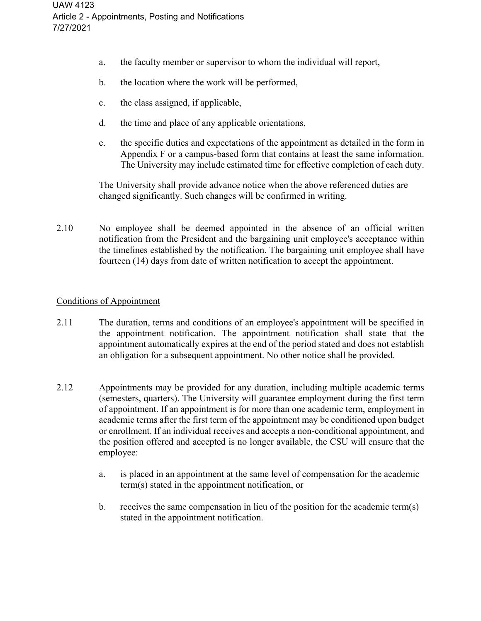- a. the faculty member or supervisor to whom the individual will report,
- b. the location where the work will be performed,
- c. the class assigned, if applicable,
- d. the time and place of any applicable orientations,
- e. the specific duties and expectations of the appointment as detailed in the form in Appendix F or a campus-based form that contains at least the same information. The University may include estimated time for effective completion of each duty.

The University shall provide advance notice when the above referenced duties are changed significantly. Such changes will be confirmed in writing.

2.10 No employee shall be deemed appointed in the absence of an official written notification from the President and the bargaining unit employee's acceptance within the timelines established by the notification. The bargaining unit employee shall have fourteen (14) days from date of written notification to accept the appointment.

## Conditions of Appointment

- 2.11 The duration, terms and conditions of an employee's appointment will be specified in the appointment notification. The appointment notification shall state that the appointment automatically expires at the end of the period stated and does not establish an obligation for a subsequent appointment. No other notice shall be provided.
- 2.12 Appointments may be provided for any duration, including multiple academic terms (semesters, quarters). The University will guarantee employment during the first term of appointment. If an appointment is for more than one academic term, employment in academic terms after the first term of the appointment may be conditioned upon budget or enrollment. If an individual receives and accepts a non-conditional appointment, and the position offered and accepted is no longer available, the CSU will ensure that the employee:
	- a. is placed in an appointment at the same level of compensation for the academic term(s) stated in the appointment notification, or
	- b. receives the same compensation in lieu of the position for the academic term(s) stated in the appointment notification.